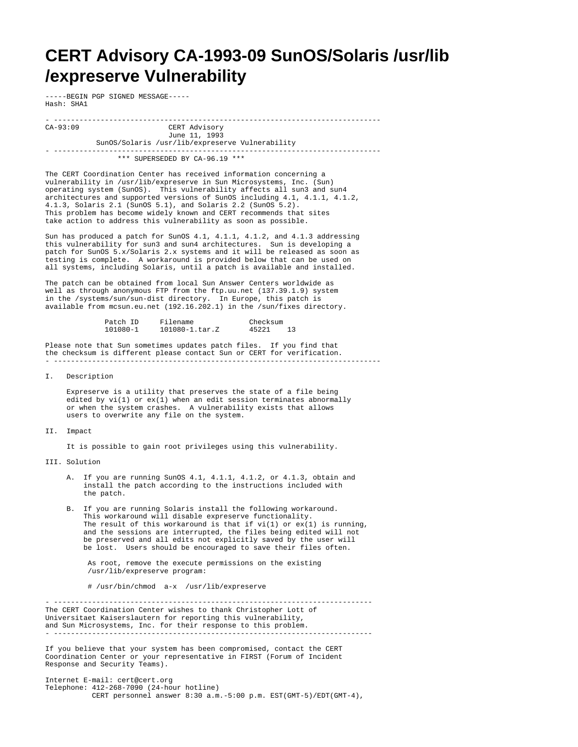## **CERT Advisory CA-1993-09 SunOS/Solaris /usr/lib /expreserve Vulnerability**

-----BEGIN PGP SIGNED MESSAGE----- Hash: SHA1

- ----------------------------------------------------------------------------- CERT Advisory June 11, 1993 SunOS/Solaris /usr/lib/expreserve Vulnerability

\*\*\* SUPERSEDED BY CA-96.19 \*\*\*

- -----------------------------------------------------------------------------

The CERT Coordination Center has received information concerning a vulnerability in /usr/lib/expreserve in Sun Microsystems, Inc. (Sun) operating system (SunOS). This vulnerability affects all sun3 and sun4 architectures and supported versions of SunOS including 4.1, 4.1.1, 4.1.2, 4.1.3, Solaris 2.1 (SunOS 5.1), and Solaris 2.2 (SunOS 5.2). This problem has become widely known and CERT recommends that sites take action to address this vulnerability as soon as possible.

Sun has produced a patch for SunOS 4.1, 4.1.1, 4.1.2, and 4.1.3 addressing this vulnerability for sun3 and sun4 architectures. Sun is developing a patch for SunOS 5.x/Solaris 2.x systems and it will be released as soon as testing is complete. A workaround is provided below that can be used on all systems, including Solaris, until a patch is available and installed.

The patch can be obtained from local Sun Answer Centers worldwide as well as through anonymous FTP from the ftp.uu.net (137.39.1.9) system in the /systems/sun/sun-dist directory. In Europe, this patch is available from mcsun.eu.net (192.16.202.1) in the /sun/fixes directory.

| Patch ID | Filename         | Checksum |  |
|----------|------------------|----------|--|
| 101080-1 | $101080 - 1.txt$ | 45221    |  |

Please note that Sun sometimes updates patch files. If you find that the checksum is different please contact Sun or CERT for verification.

I. Description

 Expreserve is a utility that preserves the state of a file being edited by  $vi(1)$  or  $ex(1)$  when an edit session terminates abnormally or when the system crashes. A vulnerability exists that allows users to overwrite any file on the system.

## II. Impact

It is possible to gain root privileges using this vulnerability.

III. Solution

- A. If you are running SunOS 4.1, 4.1.1, 4.1.2, or 4.1.3, obtain and install the patch according to the instructions included with the patch.
- B. If you are running Solaris install the following workaround. This workaround will disable expreserve functionality. The result of this workaround is that if  $vi(1)$  or  $ex(1)$  is running, and the sessions are interrupted, the files being edited will not be preserved and all edits not explicitly saved by the user will be lost. Users should be encouraged to save their files often.

 As root, remove the execute permissions on the existing /usr/lib/expreserve program:

# /usr/bin/chmod a-x /usr/lib/expreserve

- --------------------------------------------------------------------------- The CERT Coordination Center wishes to thank Christopher Lott of Universitaet Kaiserslautern for reporting this vulnerability, and Sun Microsystems, Inc. for their response to this problem. - ---------------------------------------------------------------------------

If you believe that your system has been compromised, contact the CERT Coordination Center or your representative in FIRST (Forum of Incident Response and Security Teams).

Internet E-mail: cert@cert.org Telephone: 412-268-7090 (24-hour hotline) CERT personnel answer 8:30 a.m.-5:00 p.m. EST(GMT-5)/EDT(GMT-4),